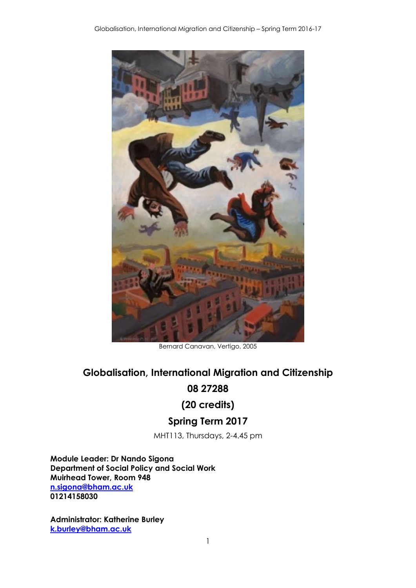

Bernard Canavan, Vertigo, 2005

# **Globalisation, International Migration and Citizenship**

## **08 27288**

# **(20 credits)**

# **Spring Term 2017**

MHT113, Thursdays, 2-4.45 pm

**Module Leader: Dr Nando Sigona Department of Social Policy and Social Work Muirhead Tower, Room 948 [n.sigona@bham.ac.uk](mailto:n.sigona@bham.ac.uk) 01214158030**

**Administrator: Katherine Burley [k.burley@bham.ac.uk](mailto:k.burley@bham.ac.uk)**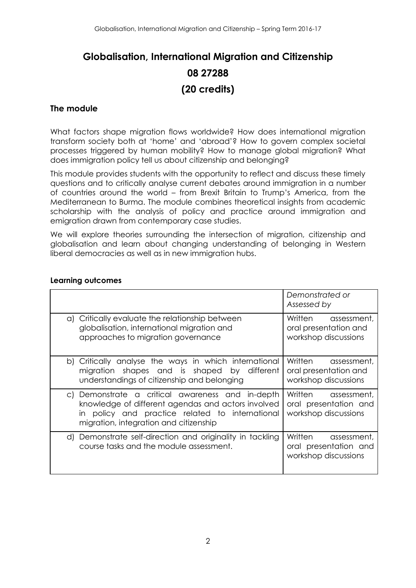# **Globalisation, International Migration and Citizenship 08 27288 (20 credits)**

#### **The module**

What factors shape migration flows worldwide? How does international migration transform society both at 'home' and 'abroad'? How to govern complex societal processes triggered by human mobility? How to manage global migration? What does immigration policy tell us about citizenship and belonging?

This module provides students with the opportunity to reflect and discuss these timely questions and to critically analyse current debates around immigration in a number of countries around the world – from Brexit Britain to Trump's America, from the Mediterranean to Burma. The module combines theoretical insights from academic scholarship with the analysis of policy and practice around immigration and emigration drawn from contemporary case studies.

We will explore theories surrounding the intersection of migration, citizenship and globalisation and learn about changing understanding of belonging in Western liberal democracies as well as in new immigration hubs.

|                                                                                                                                                                                                        | Demonstrated or<br>Assessed by                                          |  |  |
|--------------------------------------------------------------------------------------------------------------------------------------------------------------------------------------------------------|-------------------------------------------------------------------------|--|--|
| a) Critically evaluate the relationship between<br>globalisation, international migration and<br>approaches to migration governance                                                                    | Written assessment,<br>oral presentation and<br>workshop discussions    |  |  |
| b) Critically analyse the ways in which international<br>migration shapes and is shaped by different<br>understandings of citizenship and belonging                                                    | Written assessment,<br>oral presentation and<br>workshop discussions    |  |  |
| Demonstrate a critical awareness and in-depth<br>C)<br>knowledge of different agendas and actors involved<br>in policy and practice related to international<br>migration, integration and citizenship | Written assessment,<br>oral presentation and<br>workshop discussions    |  |  |
| d) Demonstrate self-direction and originality in tackling<br>course tasks and the module assessment.                                                                                                   | Written<br>assessment,<br>oral presentation and<br>workshop discussions |  |  |

#### **Learning outcomes**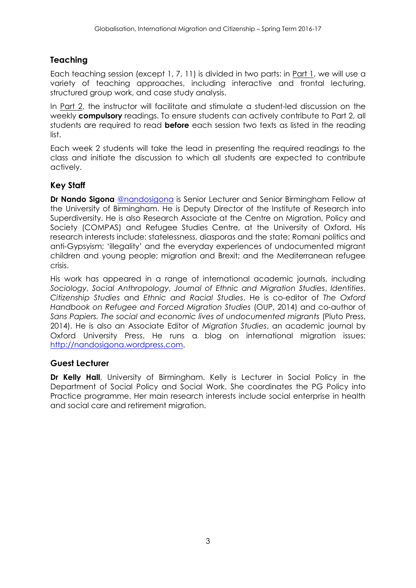## **Teaching**

Each teaching session (except 1, 7, 11) is divided in two parts: in Part 1, we will use a variety of teaching approaches, including interactive and frontal lecturing, structured group work, and case study analysis.

In Part 2, the instructor will facilitate and stimulate a student-led discussion on the weekly **compulsory** readings. To ensure students can actively contribute to Part 2, all students are required to read **before** each session two texts as listed in the reading list.

Each week 2 students will take the lead in presenting the required readings to the class and initiate the discussion to which all students are expected to contribute actively.

## **Key Staff**

**Dr Nando Sigona** [@nandosigona](https://twitter.com/nandosigona) is Senior Lecturer and Senior Birmingham Fellow at the University of Birmingham. He is Deputy Director of the Institute of Research into Superdiversity. He is also Research Associate at the Centre on Migration, Policy and Society (COMPAS) and Refugee Studies Centre, at the University of Oxford. His research interests include: statelessness, diasporas and the state; Romani politics and anti-Gypsyism; 'illegality' and the everyday experiences of undocumented migrant children and young people; migration and Brexit; and the Mediterranean refugee crisis.

His work has appeared in a range of international academic journals, including *Sociology*, *Social Anthropology*, *Journal of Ethnic and Migration Studies*, *Identities*, *Citizenship Studies* and *Ethnic and Racial Studies*. He is co-editor of *The Oxford Handbook on Refugee and Forced Migration Studies* (OUP, 2014) and co-author of *Sans Papiers. The social and economic lives of undocumented migrants* (Pluto Press, 2014). He is also an Associate Editor of *Migration Studies*, an academic journal by Oxford University Press. He runs a blog on international migration issues: [http://nandosigona.wordpress.com.](http://nandosigona.wordpress.com/)

## **Guest Lecturer**

**Dr Kelly Hall**, University of Birmingham. Kelly is Lecturer in Social Policy in the Department of Social Policy and Social Work. She coordinates the PG Policy into Practice programme. Her main research interests include social enterprise in health and social care and retirement migration.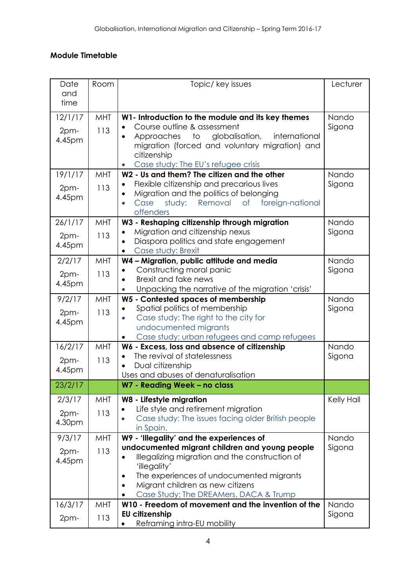## **Module Timetable**

| Date<br>and<br>time       | Room              | Topic/ key issues                                                                                                                                                                                                                                                                                   | Lecturer        |
|---------------------------|-------------------|-----------------------------------------------------------------------------------------------------------------------------------------------------------------------------------------------------------------------------------------------------------------------------------------------------|-----------------|
| 12/1/17<br>2pm-<br>4.45pm | MHT<br>113        | W1- Introduction to the module and its key themes<br>Course outline & assessment<br>Approaches to<br>globalisation,<br>international<br>migration (forced and voluntary migration) and<br>citizenship<br>Case study: The EU's refugee crisis<br>$\bullet$                                           | Nando<br>Sigona |
| 19/1/17<br>2pm-<br>4.45pm | MHT<br>113        | W2 - Us and them? The citizen and the other<br>Flexible citizenship and precarious lives<br>Migration and the politics of belonging<br>$\bullet$<br>study:<br>Removal<br>$\circ$ f<br>Case<br>foreign-national<br>$\bullet$<br>offenders                                                            | Nando<br>Sigona |
| 26/1/17<br>2pm-<br>4.45pm | MHT<br>113        | W3 - Reshaping citizenship through migration<br>Migration and citizenship nexus<br>Diaspora politics and state engagement<br>Case study: Brexit<br>$\bullet$                                                                                                                                        | Nando<br>Sigona |
| 2/2/17<br>2pm-<br>4.45pm  | <b>MHT</b><br>113 | W4 - Migration, public attitude and media<br>Constructing moral panic<br>Brexit and fake news<br>Unpacking the narrative of the migration 'crisis'                                                                                                                                                  | Nando<br>Sigona |
| 9/2/17<br>2pm-<br>4.45pm  | MHT<br>113        | W5 - Contested spaces of membership<br>Spatial politics of membership<br>Case study: The right to the city for<br>$\bullet$<br>undocumented migrants<br>Case study: urban refugees and camp refugees                                                                                                | Nando<br>Sigona |
| 16/2/17<br>2pm-<br>4.45pm | MHT<br>113        | W6 - Excess, loss and absence of citizenship<br>The revival of statelessness<br>Dual citizenship<br>Uses and abuses of denaturalisation                                                                                                                                                             | Nando<br>Sigona |
| 23/2/17                   |                   | W7 - Reading Week - no class                                                                                                                                                                                                                                                                        |                 |
| 2/3/17<br>2pm-<br>4.30pm  | MHT<br>113        | W8 - Lifestyle migration<br>Life style and retirement migration<br>Case study: The issues facing older British people<br>in Spain.                                                                                                                                                                  | Kelly Hall      |
| 9/3/17<br>2pm-<br>4.45pm  | MHT<br>113        | W9 - 'Illegality' and the experiences of<br>undocumented migrant children and young people<br>Illegalizing migration and the construction of<br>$\bullet$<br>'illegality'<br>The experiences of undocumented migrants<br>Migrant children as new citizens<br>Case Study: The DREAMers, DACA & Trump | Nando<br>Sigona |
| 16/3/17<br>2pm-           | MHT<br>113        | W10 - Freedom of movement and the invention of the<br><b>EU citizenship</b><br>Reframing intra-EU mobility                                                                                                                                                                                          | Nando<br>Sigona |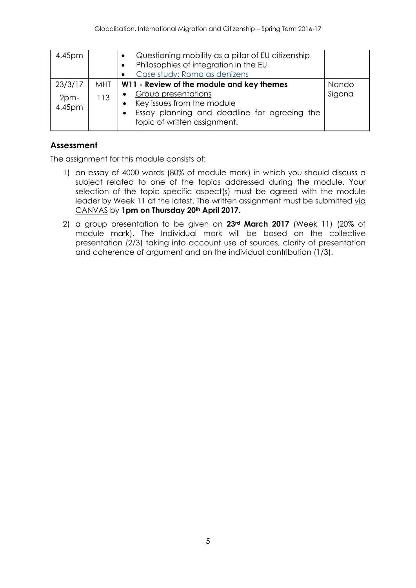| 4.45pm                    |            | Questioning mobility as a pillar of EU citizenship<br>Philosophies of integration in the EU<br>Case study: Roma as denizens                                              |        |
|---------------------------|------------|--------------------------------------------------------------------------------------------------------------------------------------------------------------------------|--------|
| 23/3/17                   | <b>MHT</b> | W11 - Review of the module and key themes                                                                                                                                | Nando  |
| 2 <sub>pm</sub><br>4.45pm | 113        | Group presentations<br>$\bullet$<br>Key issues from the module<br>$\bullet$<br>Essay planning and deadline for agreeing the<br>$\bullet$<br>topic of written assignment. | Sigona |

## **Assessment**

The assignment for this module consists of:

- 1) an essay of 4000 words (80% of module mark) in which you should discuss a subject related to one of the topics addressed during the module. Your selection of the topic specific aspect(s) must be agreed with the module leader by Week 11 at the latest. The written assignment must be submitted via CANVAS by **1pm on Thursday 20th April 2017.**
- 2) a group presentation to be given on **23rd March 2017** (Week 11) (20% of module mark). The Individual mark will be based on the collective presentation (2/3) taking into account use of sources, clarity of presentation and coherence of argument and on the individual contribution (1/3).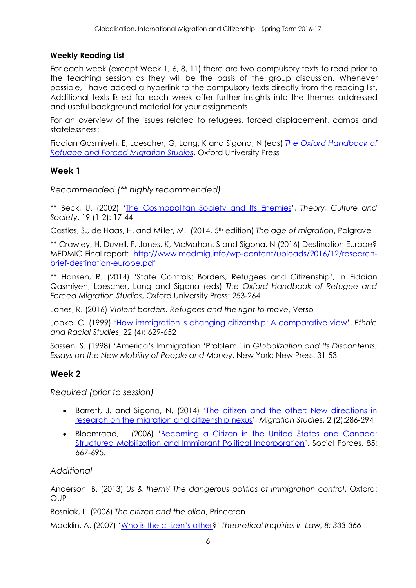#### **Weekly Reading List**

For each week (except Week 1, 6, 8, 11) there are two compulsory texts to read prior to the teaching session as they will be the basis of the group discussion. Whenever possible, I have added a hyperlink to the compulsory texts directly from the reading list. Additional texts listed for each week offer further insights into the themes addressed and useful background material for your assignments.

For an overview of the issues related to refugees, forced displacement, camps and statelessness:

Fiddian Qasmiyeh, E, Loescher, G, Long, K and Sigona, N (eds) *[The Oxford Handbook of](https://www.amazon.co.uk/Handbook-Migration-Handbooks-International-Relations/dp/0198778503/ref=tmm_pap_swatch_0?_encoding=UTF8&qid=1481888109&sr=8-1)  [Refugee and Forced Migration Studies](https://www.amazon.co.uk/Handbook-Migration-Handbooks-International-Relations/dp/0198778503/ref=tmm_pap_swatch_0?_encoding=UTF8&qid=1481888109&sr=8-1)*, Oxford University Press

#### **Week 1**

*Recommended (\*\* highly recommended)*

\*\* Beck, U. (2002) '[The Cosmopolitan Society and Its Enemies](http://tcs.sagepub.com/content/19/1-2/17.short?rss=1&ssource=mfc)', *Theory, Culture and Society*, 19 (1-2): 17-44

Castles, S., de Haas, H. and Miller, M. (2014, 5th edition) *The age of migration*, Palgrave

\*\* Crawley, H, Duvell, F, Jones, K, McMahon, S and Sigona, N (2016) Destination Europe? MEDMIG Final report: [http://www.medmig.info/wp-content/uploads/2016/12/research](http://www.medmig.info/wp-content/uploads/2016/12/research-brief-destination-europe.pdf)[brief-destination-europe.pdf](http://www.medmig.info/wp-content/uploads/2016/12/research-brief-destination-europe.pdf)

\*\* Hansen, R. (2014) 'State Controls: Borders, Refugees and Citizenship', in Fiddian Qasmiyeh, Loescher, Long and Sigona (eds) *The Oxford Handbook of Refugee and Forced Migration Studies*, Oxford University Press: 253-264

Jones, R. (2016) *Violent borders. Refugees and the right to move*, Verso

Jopke, C. (1999) '[How immigration is changing citizenship: A comparative view](http://www.tandfonline.com/doi/abs/10.1080/014198799329323#.VKnh_yusUmk)', *Ethnic and Racial Studies*, 22 (4): 629-652

Sassen, S. (1998) 'America's Immigration 'Problem.' in *Globalization and Its Discontents: Essays on the New Mobility of People and Money*. New York: New Press: 31-53

## **Week 2**

*Required (prior to session)*

- Barrett, J. and Sigona, N. (2014) '[The citizen and the other: New directions in](http://migration.oxfordjournals.org/content/early/2014/07/08/migration.mnu039.full.pdf+html)  [research on the migration and citizenship nexus](http://migration.oxfordjournals.org/content/early/2014/07/08/migration.mnu039.full.pdf+html)', *Migration Studies*, 2 (2):286-294
- Bloemraad, I. (2006) '[Becoming a Citizen in the United States and Canada:](http://www.jstor.org/discover/10.2307/4494935?sid=21105562065513&uid=3738032&uid=2&uid=4)  [Structured Mobilization and Immigrant Political Incorporation](http://www.jstor.org/discover/10.2307/4494935?sid=21105562065513&uid=3738032&uid=2&uid=4)', Social Forces, 85: 667-695.

#### *Additional*

Anderson, B. (2013) *Us & them? The dangerous politics of immigration control*, Oxford: OUP

Bosniak, L. (2006) *The citizen and the alien*, Princeton

Macklin, A. (2007) ['Who is the citizen's other?](http://papers.ssrn.com/sol3/papers.cfm?abstract_id=1020747)' *Theoretical Inquiries in Law, 8: 333-366*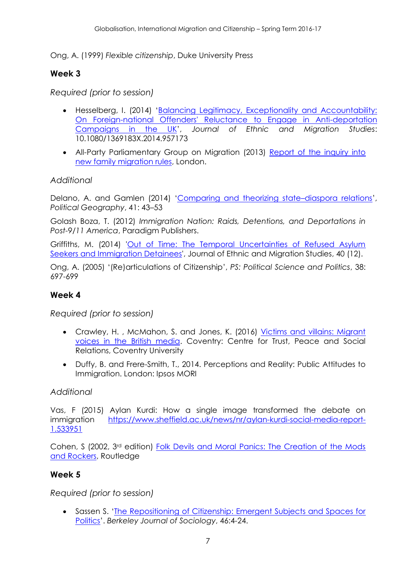Ong, A. (1999) *Flexible citizenship*, Duke University Press

## **Week 3**

*Required (prior to session)*

- Hesselberg, I. (2014) 'Balancing Legitimacy, Exceptionality and Accountability: [On Foreign-national Offenders' Reluctance to Engage in Anti-deportation](http://www.tandfonline.com/doi/full/10.1080/1369183X.2014.957173#.VKnpHiusUml)  [Campaigns in the UK](http://www.tandfonline.com/doi/full/10.1080/1369183X.2014.957173#.VKnpHiusUml)', *Journal of Ethnic and Migration Studies*: 10.1080/1369183X.2014.957173
- All-Party Parliamentary Group on Migration (2013) [Report of the inquiry into](http://www.appgmigration.org.uk/sites/default/files/APPG_family_migration_inquiry_report-Jun-2013.pdf)  [new family migration rules,](http://www.appgmigration.org.uk/sites/default/files/APPG_family_migration_inquiry_report-Jun-2013.pdf) London.

## *Additional*

Delano, A. and Gamlen (2014) '[Comparing and theorizing state](http://www.sciencedirect.com/science/article/pii/S0962629814000432)-diaspora relations', *Political Geography*, 41: 43–53

Golash Boza, T. (2012) *Immigration Nation: Raids, Detentions, and Deportations in Post-9/11 America*, Paradigm Publishers.

Griffiths, M. (2014) ['Out of Time: The Temporal Uncertainties of Refused Asylum](http://www.tandfonline.com/doi/abs/10.1080/1369183X.2014.907737#.VKntYyusUmk)  [Seekers and Immigration Detainees',](http://www.tandfonline.com/doi/abs/10.1080/1369183X.2014.907737#.VKntYyusUmk) Journal of Ethnic and Migration Studies, 40 (12).

Ong, A. (2005) '(Re)articulations of Citizenship', *PS: Political Science and Politics*, 38: 697-699

## **Week 4**

*Required (prior to session)*

- Crawley, H. , McMahon, S. and Jones, K. (2016) [Victims and villains: Migrant](https://curve.coventry.ac.uk/open/file/3ff683bc-b508-40d6-86e5-422e955c5960/1/Victims%20and%20Villains_Digital.pdf)  [voices in the British media.](https://curve.coventry.ac.uk/open/file/3ff683bc-b508-40d6-86e5-422e955c5960/1/Victims%20and%20Villains_Digital.pdf) Coventry: Centre for Trust, Peace and Social Relations, Coventry University
- Duffy, B. and Frere-Smith, T., 2014. Perceptions and Reality: Public Attitudes to Immigration. London: Ipsos MORI

## *Additional*

Vas, F (2015) Aylan Kurdi: How a single image transformed the debate on immigration [https://www.sheffield.ac.uk/news/nr/aylan-kurdi-social-media-report-](https://www.sheffield.ac.uk/news/nr/aylan-kurdi-social-media-report-1.533951)[1.533951](https://www.sheffield.ac.uk/news/nr/aylan-kurdi-social-media-report-1.533951)

Cohen, S (2002, 3rd edition) [Folk Devils and Moral Panics: The Creation of the Mods](https://infodocks.files.wordpress.com/2015/01/stanley_cohen_folk_devils_and_moral_panics.pdf)  [and Rockers,](https://infodocks.files.wordpress.com/2015/01/stanley_cohen_folk_devils_and_moral_panics.pdf) Routledge

## **Week 5**

*Required (prior to session)*

 Sassen S. '[The Repositioning of Citizenship: Emergent Subjects and Spaces for](http://www.jstor.org/discover/10.2307/41035566?sid=21105562257753&uid=4&uid=2&uid=3738032)  [Politics](http://www.jstor.org/discover/10.2307/41035566?sid=21105562257753&uid=4&uid=2&uid=3738032)'. *Berkeley Journal of Sociology*, 46:4-24.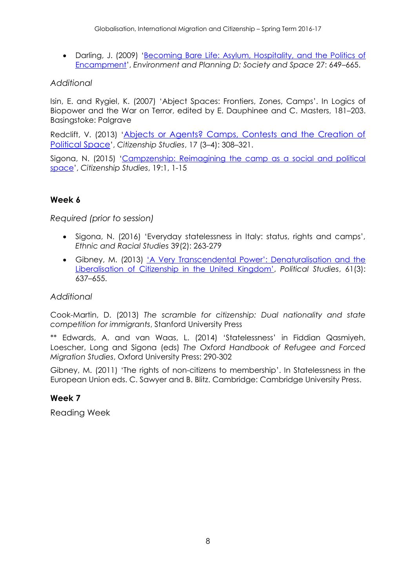• Darling, J. (2009) 'Becoming Bare Life: Asylum, Hospitality, and the Politics of [Encampment](http://onlinelibrary.wiley.com/doi/10.1111/j.1467-9248.2012.00980.x/abstract)', *Environment and Planning D: Society and Space* 27: 649–665.

## *Additional*

Isin, E. and Rygiel, K. (2007) 'Abject Spaces: Frontiers, Zones, Camps'. In Logics of Biopower and the War on Terror, edited by E. Dauphinee and C. Masters, 181–203. Basingstoke: Palgrave

Redclift, V. (2013) '[Abjects or Agents? Camps, Contests and the Creation of](http://www.tandfonline.com/doi/pdf/10.1080/13621025.2013.791534)  [Political Space](http://www.tandfonline.com/doi/pdf/10.1080/13621025.2013.791534)', *Citizenship Studies*, 17 (3–4): 308–321.

Sigona, N. (2015) '[Campzenship: Reimagining the camp as a social and political](http://www.tandfonline.com/doi/abs/10.1080/13621025.2014.937643#.VKnsgSusUmk)  [space](http://www.tandfonline.com/doi/abs/10.1080/13621025.2014.937643#.VKnsgSusUmk)', *Citizenship Studies*, 19:1, 1-15

## **Week 6**

*Required (prior to session)*

- Sigona, N. (2016) 'Everyday statelessness in Italy: status, rights and camps', *Ethnic and Racial Studies* 39(2): 263-279
- Gibney, M. (2013) ['A Very Transcendental Power': Denaturalisation and the](http://onlinelibrary.wiley.com/doi/10.1111/j.1467-9248.2012.00980.x/abstract)  [Liberalisation of Citizenship in the United Kingdom'](http://onlinelibrary.wiley.com/doi/10.1111/j.1467-9248.2012.00980.x/abstract), *Political Studies*, 61(3): 637–655.

#### *Additional*

Cook-Martin, D. (2013) *The scramble for citizenship: Dual nationality and state competition for immigrants*, Stanford University Press

\*\* Edwards, A. and van Waas, L. (2014) 'Statelessness' in Fiddian Qasmiyeh, Loescher, Long and Sigona (eds) *The Oxford Handbook of Refugee and Forced Migration Studies*, Oxford University Press: 290-302

Gibney, M. (2011) 'The rights of non-citizens to membership'. In Statelessness in the European Union eds. C. Sawyer and B. Blitz. Cambridge: Cambridge University Press.

## **Week 7**

Reading Week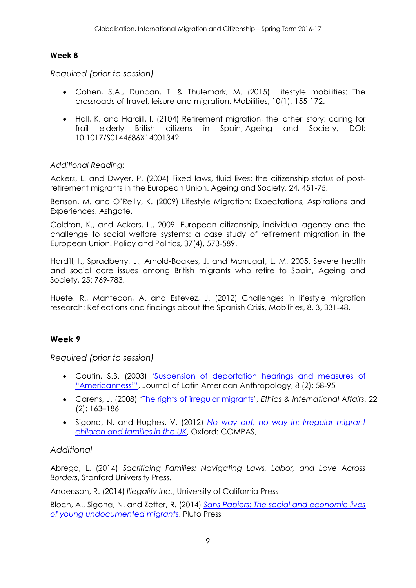## **Week 8**

*Required (prior to session)*

- Cohen, S.A., Duncan, T. & Thulemark, M. (2015). Lifestyle mobilities: The crossroads of travel, leisure and migration. Mobilities, 10(1), 155-172.
- Hall, K. and Hardill, I. (2104) Retirement migration, the 'other' story: caring for frail elderly British citizens in Spain, Ageing and Society, DOI: 10.1017/S0144686X14001342

## *Additional Reading:*

Ackers, L. and Dwyer, P. (2004) Fixed laws, fluid lives: the citizenship status of postretirement migrants in the European Union. Ageing and Society, 24, 451-75.

Benson, M. and O'Reilly, K. (2009) Lifestyle Migration: Expectations, Aspirations and Experiences, Ashaate.

Coldron, K., and Ackers, L., 2009. European citizenship, individual agency and the challenge to social welfare systems: a case study of retirement migration in the European Union. Policy and Politics, 37(4), 573-589.

Hardill, I., Spradberry, J., Arnold-Boakes, J. and Marrugat, L. M. 2005. Severe health and social care issues among British migrants who retire to Spain, Ageing and Society, 25: 769-783.

Huete, R., Mantecon, A. and Estevez, J. (2012) Challenges in lifestyle migration research: Reflections and findings about the Spanish Crisis, Mobilities, 8, 3, 331-48.

## **Week 9**

*Required (prior to session)*

- Coutin, S.B. (2003) ['Suspension of deportation hear](http://onlinelibrary.wiley.com/doi/10.1525/jlca.2003.8.2.58/abstract)ings and measures of ["Americanness"'](http://onlinelibrary.wiley.com/doi/10.1525/jlca.2003.8.2.58/abstract), Journal of Latin American Anthropology, 8 (2): 58-95
- Carens, J. (2008) '[The rights of irregular migrants](http://onlinelibrary.wiley.com/doi/10.1111/j.1747-7093.2008.00141.x/abstract)', *Ethics & International Affairs*, 22 (2): 163–186
- Sigona, N. and Hughes, V. (2012) *[No way out, no way in: Irregular migrant](http://www.compas.ox.ac.uk/fileadmin/files/Publications/Reports/NO_WAY_OUT_NO_WAY_IN_FINAL.pdf)  [children and families in the UK](http://www.compas.ox.ac.uk/fileadmin/files/Publications/Reports/NO_WAY_OUT_NO_WAY_IN_FINAL.pdf)*, Oxford: COMPAS,

## *Additional*

Abrego, L. (2014) *Sacrificing Families: Navigating Laws, Labor, and Love Across Borders*, Stanford University Press.

Andersson, R. (2014) *Illegality Inc.*, University of California Press

Bloch, A., Sigona, N. and Zetter, R. (2014) *[Sans Papiers: The social and economic lives](http://www.plutobooks.com/display.asp?K=9780745333908)  [of young undocumented migrants](http://www.plutobooks.com/display.asp?K=9780745333908)*, Pluto Press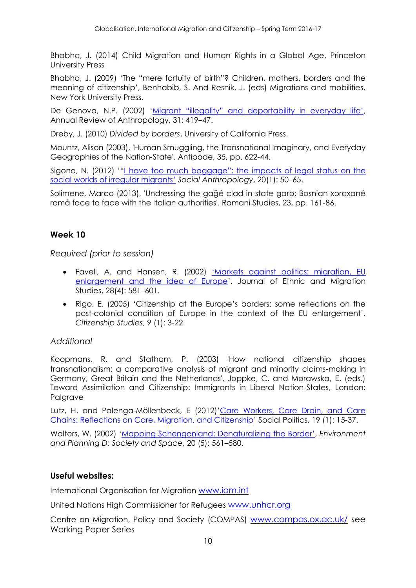Bhabha, J. (2014) Child Migration and Human Rights in a Global Age, Princeton University Press

Bhabha, J. (2009) 'The "mere fortuity of birth"? Children, mothers, borders and the meaning of citizenship', Benhabib, S. And Resnik, J. (eds) Migrations and mobilities, New York University Press.

De Genova, N.P. (2002) ['Migrant "illegality" and deportability in everyday life'](http://www.nicholasdegenova.net/resources/ARA-DeGenova.pdf), Annual Review of Anthropology, 31: 419–47.

Dreby, J. (2010) *Divided by borders*, University of California Press.

Mountz, Alison (2003), 'Human Smuggling, the Transnational Imaginary, and Everyday Geographies of the Nation‐State'. Antipode, 35, pp. 622-44.

Sigona, N. (2012) '["I have too much baggage": the impacts of legal st](http://onlinelibrary.wiley.com/doi/10.1111/j.1469-8676.2011.00191.x/abstract)atus on the [social worlds of irregular migrants'](http://onlinelibrary.wiley.com/doi/10.1111/j.1469-8676.2011.00191.x/abstract) *Social Anthropology*, 20(1): 50–65.

Solimene, Marco (2013), 'Undressing the gağé clad in state garb: Bosnian xoraxané romá face to face with the Italian authorities'. Romani Studies, 23, pp. 161-86.

## **Week 10**

*Required (prior to session)*

- Favell, A. and Hansen, R. (2002) ['Markets against politics: migration, EU](http://www.sscnet.ucla.edu/soc/faculty/favell/favellhansen.pdf)  [enlargement and the idea of Europe](http://www.sscnet.ucla.edu/soc/faculty/favell/favellhansen.pdf)', Journal of Ethnic and Migration Studies, 28(4): 581–601.
- Rigo, E. (2005) 'Citizenship at the Europe's borders: some reflections on the post-colonial condition of Europe in the context of the EU enlargement', *Citizenship Studies*, 9 (1): 3-22

#### *Additional*

Koopmans, R. and Statham, P. (2003) 'How national citizenship shapes transnationalism: a comparative analysis of migrant and minority claims-making in Germany, Great Britain and the Netherlands', Joppke, C. and Morawska, E. (eds.) Toward Assimilation and Citizenship: Immigrants in Liberal Nation-States, London: Palgrave

Lutz, H. and Palenga-Möllenbeck, E (2012)'[Care Workers, Care Drain, and Care](http://sp.oxfordjournals.org/content/19/1/15.short)  [Chains: Reflections on Care, Migration, and Citizenship](http://sp.oxfordjournals.org/content/19/1/15.short)' Social Politics, 19 (1): 15-37.

Walters, W. (2002) ['Mapping Schengenland: Denaturalizing the Border'](file:///C:/Users/hallkj/AppData/Local/Microsoft/Windows/Temporary%20Internet%20Files/Content.Outlook/FINALhandbook%20-%202013%20NMSP%2008036771%20LG.doc), *Environment and Planning D: Society and Space*, 20 (5): 561–580.

#### **Useful websites:**

International Organisation for Migration [www.iom.int](http://www.iom.int/)

United Nations High Commissioner for Refugees [www.unhcr.org](http://www.unhcr.org/)

Centre on Migration, Policy and Society (COMPAS) [www.compas.ox.ac.uk/](http://www.compas.ox.ac.uk/) see Working Paper Series